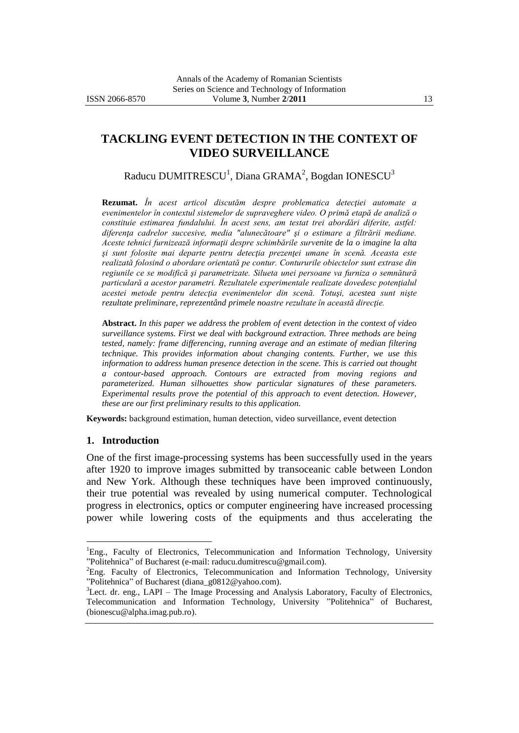# **TACKLING EVENT DETECTION IN THE CONTEXT OF VIDEO SURVEILLANCE**

Raducu DUMITRESCU $^1$ , Diana GRAMA $^2$ , Bogdan IONESCU $^3$ 

**Rezumat.** *În acest articol discutăm despre problematica detecţiei automate a evenimentelor în contextul sistemelor de supraveghere video. O primă etapă de analiză o constituie estimarea fundalului. În acest sens, am testat trei abordări diferite, astfel: diferenţa cadrelor succesive, media "alunecătoare" şi o estimare a filtrării mediane. Aceste tehnici furnizează informaţii despre schimbările survenite de la o imagine la alta şi sunt folosite mai departe pentru detecţia prezenţei umane în scenă. Aceasta este realizată folosind o abordare orientată pe contur. Contururile obiectelor sunt extrase din regiunile ce se modifică şi parametrizate. Silueta unei persoane va furniza o semnătură particulară a acestor parametri. Rezultatele experimentale realizate dovedesc potenţialul acestei metode pentru detecţia evenimentelor din scenă. Totuşi, acestea sunt nişte rezultate preliminare, reprezentând primele noastre rezultate în această direcţie.*

**Abstract.** *In this paper we address the problem of event detection in the context of video surveillance systems. First we deal with background extraction. Three methods are being tested, namely: frame differencing, running average and an estimate of median filtering technique. This provides information about changing contents. Further, we use this information to address human presence detection in the scene. This is carried out thought a contour-based approach. Contours are extracted from moving regions and parameterized. Human silhouettes show particular signatures of these parameters. Experimental results prove the potential of this approach to event detection. However, these are our first preliminary results to this application.* 

**Keywords:** background estimation, human detection, video surveillance, event detection

#### **1. Introduction**

 $\overline{a}$ 

One of the first image-processing systems has been successfully used in the years after 1920 to improve images submitted by transoceanic cable between London and New York. Although these techniques have been improved continuously, their true potential was revealed by using numerical computer. Technological progress in electronics, optics or computer engineering have increased processing power while lowering costs of the equipments and thus accelerating the

<sup>&</sup>lt;sup>1</sup>Eng., Faculty of Electronics, Telecommunication and Information Technology, University "Politehnica" of Bucharest (e-mail: raducu.dumitrescu@gmail.com).

<sup>&</sup>lt;sup>2</sup>Eng. Faculty of Electronics, Telecommunication and Information Technology, University "Politehnica" of Bucharest (diana\_g0812@yahoo.com).

<sup>&</sup>lt;sup>3</sup>Lect. dr. eng., LAPI – The Image Processing and Analysis Laboratory, Faculty of Electronics, Telecommunication and Information Technology, University "Politehnica" of Bucharest, (bionescu@alpha.imag.pub.ro).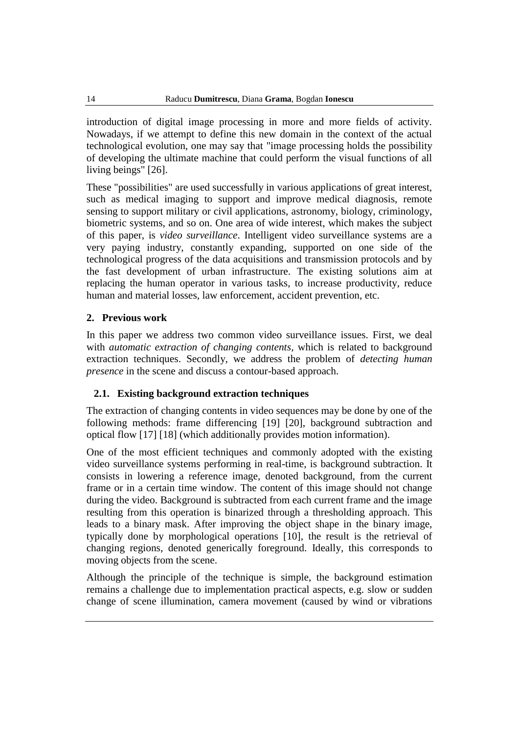introduction of digital image processing in more and more fields of activity. Nowadays, if we attempt to define this new domain in the context of the actual technological evolution, one may say that "image processing holds the possibility of developing the ultimate machine that could perform the visual functions of all living beings" [26].

These "possibilities" are used successfully in various applications of great interest, such as medical imaging to support and improve medical diagnosis, remote sensing to support military or civil applications, astronomy, biology, criminology, biometric systems, and so on. One area of wide interest, which makes the subject of this paper, is *video surveillance*. Intelligent video surveillance systems are a very paying industry, constantly expanding, supported on one side of the technological progress of the data acquisitions and transmission protocols and by the fast development of urban infrastructure. The existing solutions aim at replacing the human operator in various tasks, to increase productivity, reduce human and material losses, law enforcement, accident prevention, etc.

# **2. Previous work**

In this paper we address two common video surveillance issues. First, we deal with *automatic extraction of changing contents,* which is related to background extraction techniques. Secondly, we address the problem of *detecting human presence* in the scene and discuss a contour-based approach.

# **2.1. Existing background extraction techniques**

The extraction of changing contents in video sequences may be done by one of the following methods: frame differencing [19] [20], background subtraction and optical flow [17] [18] (which additionally provides motion information).

One of the most efficient techniques and commonly adopted with the existing video surveillance systems performing in real-time, is background subtraction. It consists in lowering a reference image, denoted background, from the current frame or in a certain time window. The content of this image should not change during the video. Background is subtracted from each current frame and the image resulting from this operation is binarized through a thresholding approach. This leads to a binary mask. After improving the object shape in the binary image, typically done by morphological operations [10], the result is the retrieval of changing regions, denoted generically foreground. Ideally, this corresponds to moving objects from the scene.

Although the principle of the technique is simple, the background estimation remains a challenge due to implementation practical aspects, e.g. slow or sudden change of scene illumination, camera movement (caused by wind or vibrations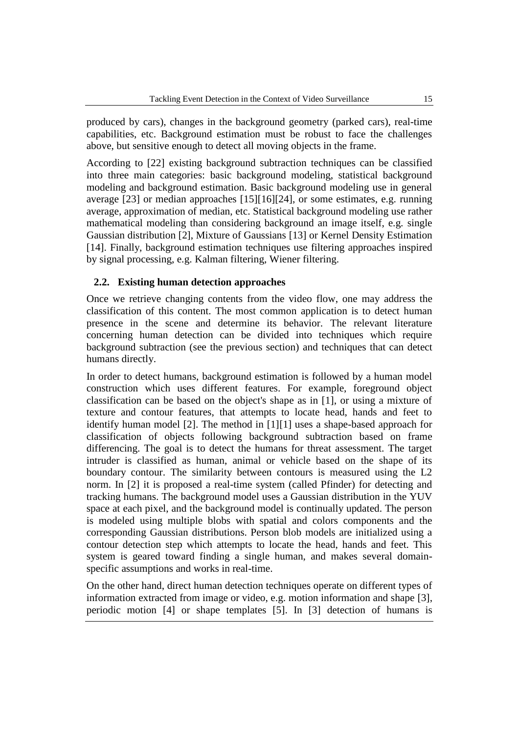produced by cars), changes in the background geometry (parked cars), real-time capabilities, etc. Background estimation must be robust to face the challenges above, but sensitive enough to detect all moving objects in the frame.

According to [22] existing background subtraction techniques can be classified into three main categories: basic background modeling, statistical background modeling and background estimation. Basic background modeling use in general average [23] or median approaches [15][16][24], or some estimates, e.g. running average, approximation of median, etc. Statistical background modeling use rather mathematical modeling than considering background an image itself, e.g. single Gaussian distribution [2], Mixture of Gaussians [13] or Kernel Density Estimation [14]. Finally, background estimation techniques use filtering approaches inspired by signal processing, e.g. Kalman filtering, Wiener filtering.

# **2.2. Existing human detection approaches**

Once we retrieve changing contents from the video flow, one may address the classification of this content. The most common application is to detect human presence in the scene and determine its behavior. The relevant literature concerning human detection can be divided into techniques which require background subtraction (see the previous section) and techniques that can detect humans directly.

In order to detect humans, background estimation is followed by a human model construction which uses different features. For example, foreground object classification can be based on the object's shape as in [1], or using a mixture of texture and contour features, that attempts to locate head, hands and feet to identify human model [2]. The method in [1[\]\[1\]](#page-12-0) uses a shape-based approach for classification of objects following background subtraction based on frame differencing. The goal is to detect the humans for threat assessment. The target intruder is classified as human, animal or vehicle based on the shape of its boundary contour. The similarity between contours is measured using the L2 norm. In [2] it is proposed a real-time system (called Pfinder) for detecting and tracking humans. The background model uses a Gaussian distribution in the YUV space at each pixel, and the background model is continually updated. The person is modeled using multiple blobs with spatial and colors components and the corresponding Gaussian distributions. Person blob models are initialized using a contour detection step which attempts to locate the head, hands and feet. This system is geared toward finding a single human, and makes several domainspecific assumptions and works in real-time.

On the other hand, direct human detection techniques operate on different types of information extracted from image or video, e.g. motion information and shape [\[3\],](#page-12-1) periodic motion [\[4\]](#page-12-2) or shape templates [\[5\].](#page-12-3) In [\[3\]](#page-12-1) detection of humans is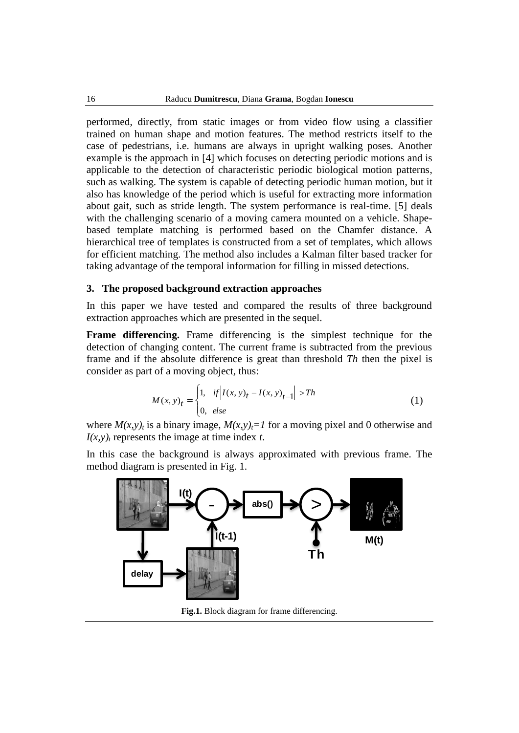performed, directly, from static images or from video flow using a classifier trained on human shape and motion features. The method restricts itself to the case of pedestrians, i.e. humans are always in upright walking poses. Another example is the approach in [\[4\]](#page-12-2) which focuses on detecting periodic motions and is applicable to the detection of characteristic periodic biological motion patterns, such as walking. The system is capable of detecting periodic human motion, but it also has knowledge of the period which is useful for extracting more information about gait, such as stride length. The system performance is real-time. [\[5\]](#page-12-3) deals with the challenging scenario of a moving camera mounted on a vehicle. Shapebased template matching is performed based on the Chamfer distance. A hierarchical tree of templates is constructed from a set of templates, which allows for efficient matching. The method also includes a Kalman filter based tracker for taking advantage of the temporal information for filling in missed detections.

#### **3. The proposed background extraction approaches**

In this paper we have tested and compared the results of three background extraction approaches which are presented in the sequel.

**Frame differencing.** Frame differencing is the simplest technique for the detection of changing content. The current frame is subtracted from the previous frame and if the absolute difference is great than threshold *Th* then the pixel is consider as part of a moving object, thus:

$$
M(x, y)t =\begin{cases} 1, & if |I(x, y)t - I(x, y)t-1| > Th \\ 0, & else \end{cases}
$$
 (1)

where  $M(x, y)$ <sup>*t*</sup> is a binary image,  $M(x, y)$ <sup> $=$ </sup> *I* for a moving pixel and 0 otherwise and  $I(x, y)$ <sup>*t*</sup> represents the image at time index *t*.

In this case the background is always approximated with previous frame. The method diagram is presented in Fig. 1.



**Fig.1.** Block diagram for frame differencing.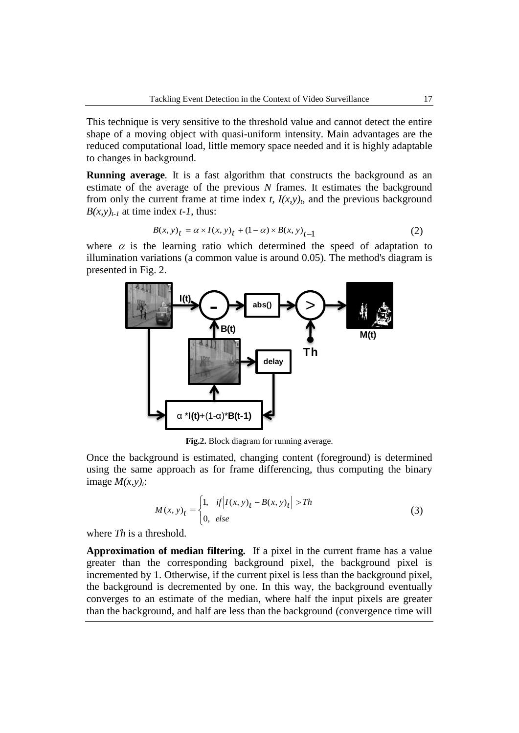This technique is very sensitive to the threshold value and cannot detect the entire shape of a moving object with quasi-uniform intensity. Main advantages are the reduced computational load, little memory space needed and it is highly adaptable to changes in background.

**Running average***.* It is a fast algorithm that constructs the background as an estimate of the average of the previous *N* frames. It estimates the background from only the current frame at time index  $t$ ,  $I(x,y)$ <sub>t</sub>, and the previous background  $B(x, y)$ <sub>t-1</sub> at time index *t*-1, thus:

$$
B(x, y)t = \alpha \times I(x, y)t + (1 - \alpha) \times B(x, y)t-1
$$
 (2)

where  $\alpha$  is the learning ratio which determined the speed of adaptation to illumination variations (a common value is around 0.05). The method's diagram is presented in Fig. 2.



**Fig.2.** Block diagram for running average.

Once the background is estimated, changing content (foreground) is determined using the same approach as for frame differencing, thus computing the binary image  $M(x, y)$ <sup>2</sup>:

$$
M(x, y)t =\begin{cases} 1, & if |I(x, y)t - B(x, y)t| > Th \\ 0, & else \end{cases}
$$
 (3)

where *Th* is a threshold.

**Approximation of median filtering***.* If a pixel in the current frame has a value greater than the corresponding background pixel, the background pixel is incremented by 1. Otherwise, if the current pixel is less than the background pixel, the background is decremented by one. In this way, the background eventually converges to an estimate of the median, where half the input pixels are greater than the background, and half are less than the background (convergence time will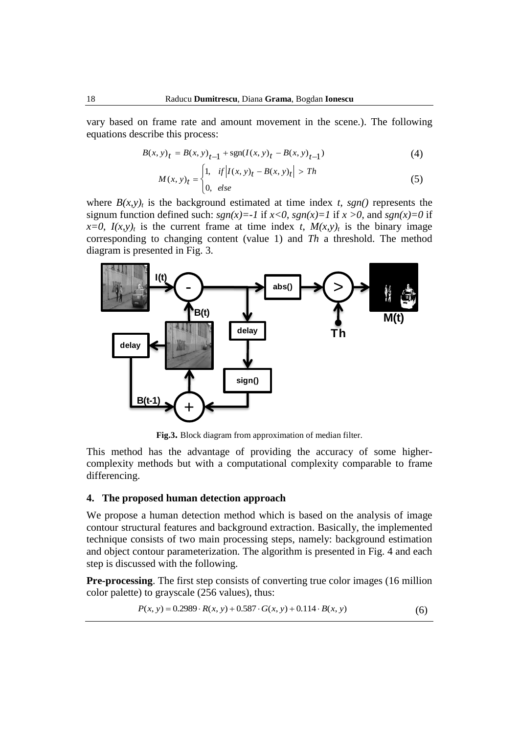vary based on frame rate and amount movement in the scene.). The following equations describe this process:

$$
B(x, y)t = B(x, y)t-1 + sgn(I(x, y)t - B(x, y)t-1)
$$
\n(4)

$$
M(x, y)t =\begin{cases} 1, & \text{if } |I(x, y)t - B(x, y)t| > Th \\ 0, & \text{else} \end{cases}
$$
(5)

where  $B(x, y)$ <sup>t</sup> is the background estimated at time index *t*, *sgn()* represents the signum function defined such:  $sgn(x) = -1$  if  $x < 0$ ,  $sgn(x) = 1$  if  $x > 0$ , and  $sgn(x) = 0$  if  $x=0$ ,  $I(x,y)$ <sup>t</sup> is the current frame at time index *t*,  $M(x,y)$ <sup>t</sup> is the binary image corresponding to changing content (value 1) and *Th* a threshold. The method diagram is presented in Fig. 3.



**Fig.3.** Block diagram from approximation of median filter.

This method has the advantage of providing the accuracy of some highercomplexity methods but with a computational complexity comparable to frame differencing.

#### **4. The proposed human detection approach**

We propose a human detection method which is based on the analysis of image contour structural features and background extraction. Basically, the implemented technique consists of two main processing steps, namely: background estimation and object contour parameterization. The algorithm is presented in Fig. 4 and each step is discussed with the following.

**Pre-processing**. The first step consists of converting true color images (16 million color palette) to grayscale (256 values), thus:

$$
P(x, y) = 0.2989 \cdot R(x, y) + 0.587 \cdot G(x, y) + 0.114 \cdot B(x, y)
$$
 (6)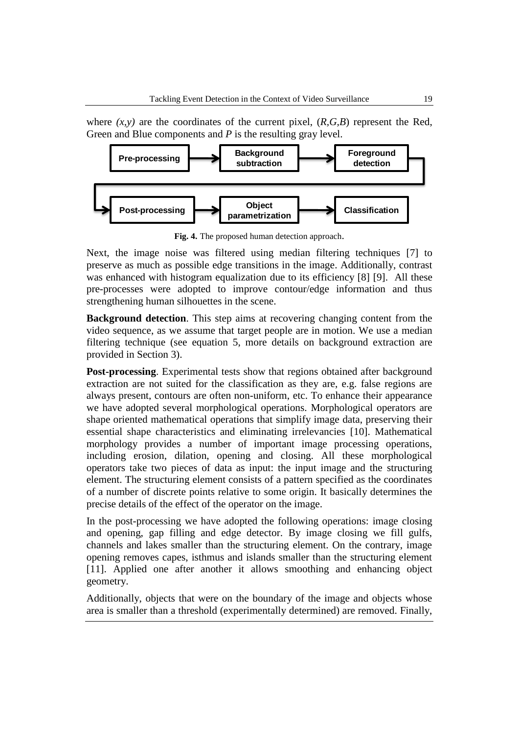where  $(x, y)$  are the coordinates of the current pixel,  $(R, G, B)$  represent the Red, Green and Blue components and *P* is the resulting gray level.



**Fig. 4.** The proposed human detection approach.

Next, the image noise was filtered using median filtering techniques [\[7\]](#page-12-4) to preserve as much as possible edge transitions in the image. Additionally, contrast was enhanced with histogram equalization due to its efficiency [\[8\]](#page-12-5) [\[9\].](#page-12-6) All these pre-processes were adopted to improve contour/edge information and thus strengthening human silhouettes in the scene.

**Background detection**. This step aims at recovering changing content from the video sequence, as we assume that target people are in motion. We use a median filtering technique (see equation 5, more details on background extraction are provided in Section 3).

**Post-processing**. Experimental tests show that regions obtained after background extraction are not suited for the classification as they are, e.g. false regions are always present, contours are often non-uniform, etc. To enhance their appearance we have adopted several morphological operations. Morphological operators are shape oriented mathematical operations that simplify image data, preserving their essential shape characteristics and eliminating irrelevancies [\[10\].](#page-12-7) Mathematical morphology provides a number of important image processing operations, including erosion, dilation, opening and closing. All these morphological operators take two pieces of data as input: the input image and the structuring element. The structuring element consists of a pattern specified as the coordinates of a number of discrete points relative to some origin. It basically determines the precise details of the effect of the operator on the image.

In the post-processing we have adopted the following operations: image closing and opening, gap filling and edge detector. By image closing we fill gulfs, channels and lakes smaller than the structuring element. On the contrary, image opening removes capes, isthmus and islands smaller than the structuring element [\[11\].](#page-12-8) Applied one after another it allows smoothing and enhancing object geometry.

Additionally, objects that were on the boundary of the image and objects whose area is smaller than a threshold (experimentally determined) are removed. Finally,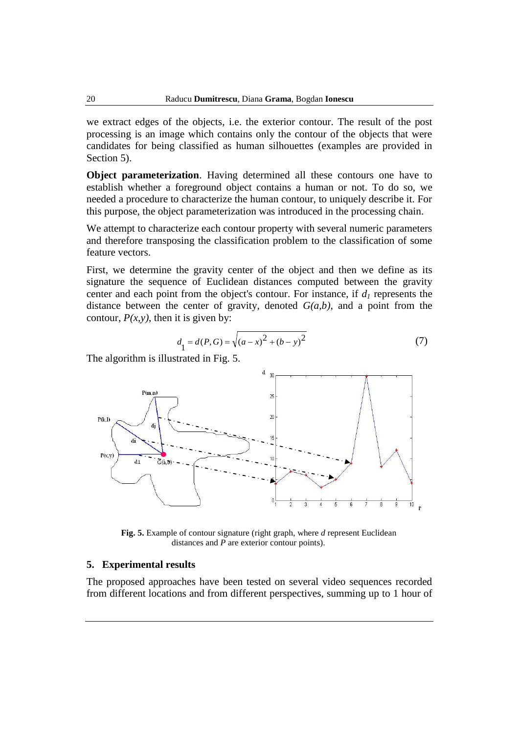we extract edges of the objects, i.e. the exterior contour. The result of the post processing is an image which contains only the contour of the objects that were candidates for being classified as human silhouettes (examples are provided in Section 5).

**Object parameterization**. Having determined all these contours one have to establish whether a foreground object contains a human or not. To do so, we needed a procedure to characterize the human contour, to uniquely describe it. For this purpose, the object parameterization was introduced in the processing chain.

We attempt to characterize each contour property with several numeric parameters and therefore transposing the classification problem to the classification of some feature vectors.

First, we determine the gravity center of the object and then we define as its signature the sequence of Euclidean distances computed between the gravity center and each point from the object's contour. For instance, if *d<sup>1</sup>* represents the distance between the center of gravity, denoted *G(a,b)*, and a point from the contour,  $P(x, y)$ , then it is given by:

$$
d_1 = d(P, G) = \sqrt{(a - x)^2 + (b - y)^2}
$$
 (7)

The algorithm is illustrated in Fig. 5.



**Fig. 5.** Example of contour signature (right graph, where *d* represent Euclidean distances and *P* are exterior contour points).

#### **5. Experimental results**

The proposed approaches have been tested on several video sequences recorded from different locations and from different perspectives, summing up to 1 hour of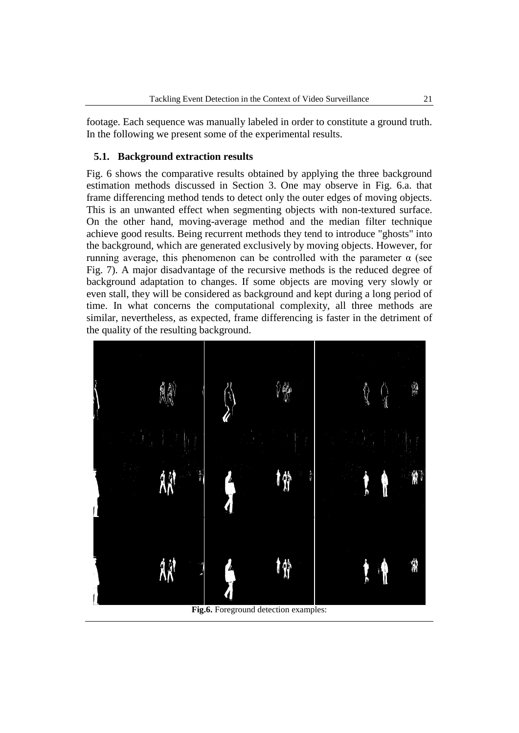footage. Each sequence was manually labeled in order to constitute a ground truth. In the following we present some of the experimental results.

### **5.1. Background extraction results**

Fig. 6 shows the comparative results obtained by applying the three background estimation methods discussed in Section 3. One may observe in Fig. 6.a. that frame differencing method tends to detect only the outer edges of moving objects. This is an unwanted effect when segmenting objects with non-textured surface. On the other hand, moving-average method and the median filter technique achieve good results. Being recurrent methods they tend to introduce "ghosts" into the background, which are generated exclusively by moving objects. However, for running average, this phenomenon can be controlled with the parameter α (see Fig. 7). A major disadvantage of the recursive methods is the reduced degree of background adaptation to changes. If some objects are moving very slowly or even stall, they will be considered as background and kept during a long period of time. In what concerns the computational complexity, all three methods are similar, nevertheless, as expected, frame differencing is faster in the detriment of the quality of the resulting background.



**Fig.6.** Foreground detection examples: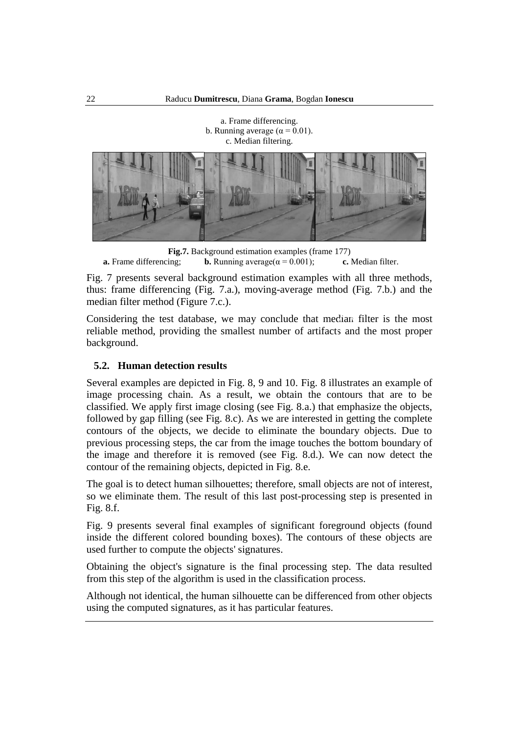a. Frame differencing. b. Running average ( $\alpha$  = 0.01).

c. Median filtering.

**Fig.7.** Background estimation examples (frame 177)<br>**a.** Frame differencing; **b.** Running average( $\alpha = 0.001$ ); **c.** Median filter. **b.** Running average( $\alpha = 0.001$ );

Fig. 7 presents several background estimation examples with all three methods, thus: frame differencing (Fig. 7.a.), moving-average method (Fig. 7.b.) and the median filter method (Figure 7.c.).

Considering the test database, we may conclude that median filter is the most reliable method, providing the smallest number of artifacts and the most proper background.

### **5.2. Human detection results**

Several examples are depicted in Fig. 8, 9 and 10. Fig. 8 illustrates an example of image processing chain. As a result, we obtain the contours that are to be classified. We apply first image closing (see Fig. 8.a.) that emphasize the objects, followed by gap filling (see Fig. 8.c). As we are interested in getting the complete contours of the objects, we decide to eliminate the boundary objects. Due to previous processing steps, the car from the image touches the bottom boundary of the image and therefore it is removed (see Fig. 8.d.). We can now detect the contour of the remaining objects, depicted in Fig. 8.e.

The goal is to detect human silhouettes; therefore, small objects are not of interest, so we eliminate them. The result of this last post-processing step is presented in Fig. 8.f.

Fig. 9 presents several final examples of significant foreground objects (found inside the different colored bounding boxes). The contours of these objects are used further to compute the objects' signatures.

Obtaining the object's signature is the final processing step. The data resulted from this step of the algorithm is used in the classification process.

Although not identical, the human silhouette can be differenced from other objects using the computed signatures, as it has particular features.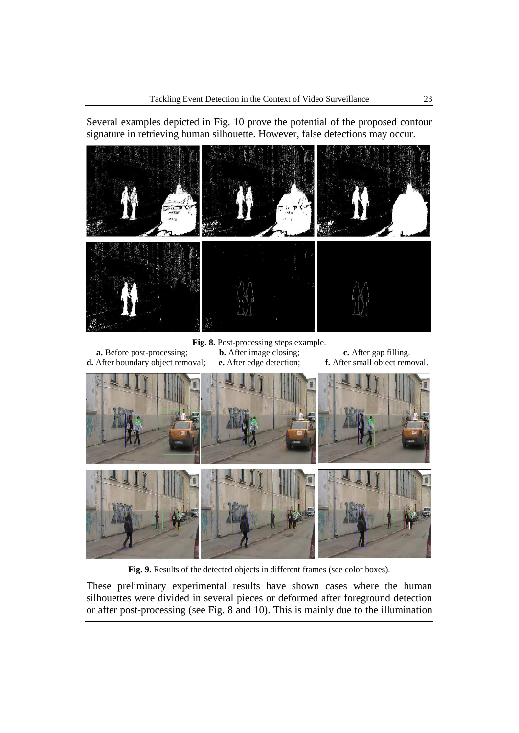Several examples depicted in Fig. 10 prove the potential of the proposed contour signature in retrieving human silhouette. However, false detections may occur.



**Fig. 8.** Post-processing steps example. **a.** Before post-processing; **b.** After image closing; **c.** After gap filling.

**d.** After boundary object removal; **e.** After edge detection; **f.** After small object removal.



Fig. 9. Results of the detected objects in different frames (see color boxes).

These preliminary experimental results have shown cases where the human silhouettes were divided in several pieces or deformed after foreground detection or after post-processing (see Fig. 8 and 10). This is mainly due to the illumination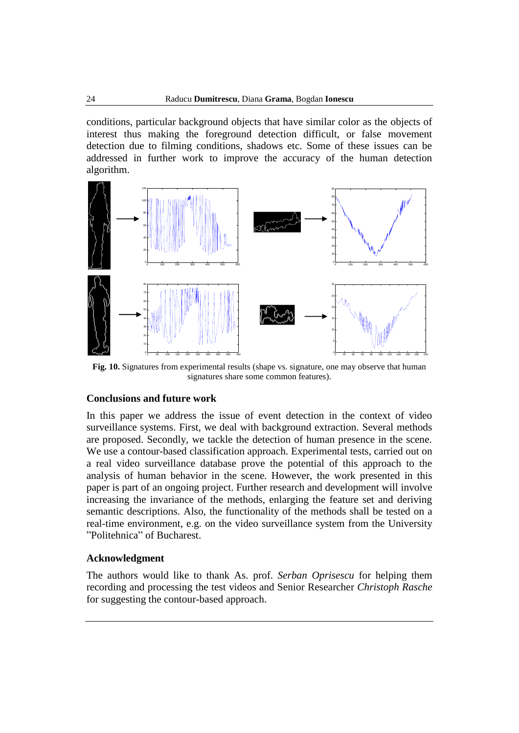conditions, particular background objects that have similar color as the objects of interest thus making the foreground detection difficult, or false movement detection due to filming conditions, shadows etc. Some of these issues can be addressed in further work to improve the accuracy of the human detection algorithm.



**Fig. 10.** Signatures from experimental results (shape vs. signature, one may observe that human signatures share some common features).

### **Conclusions and future work**

In this paper we address the issue of event detection in the context of video surveillance systems. First, we deal with background extraction. Several methods are proposed. Secondly, we tackle the detection of human presence in the scene. We use a contour-based classification approach. Experimental tests, carried out on a real video surveillance database prove the potential of this approach to the analysis of human behavior in the scene. However, the work presented in this paper is part of an ongoing project. Further research and development will involve increasing the invariance of the methods, enlarging the feature set and deriving semantic descriptions. Also, the functionality of the methods shall be tested on a real-time environment, e.g. on the video surveillance system from the University "Politehnica" of Bucharest.

### **Acknowledgment**

The authors would like to thank As. prof. *Serban Oprisescu* for helping them recording and processing the test videos and Senior Researcher *Christoph Rasche* for suggesting the contour-based approach.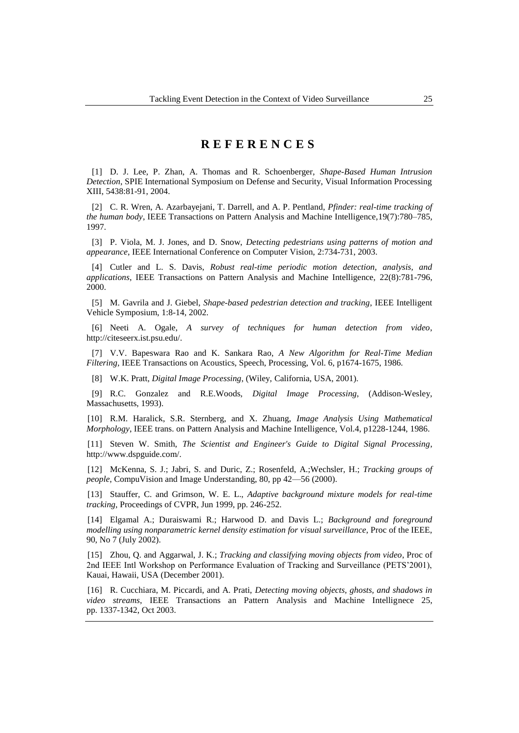# **R E F E R E N C E S**

<span id="page-12-0"></span>[1] D. J. Lee, P. Zhan, A. Thomas and R. Schoenberger, *Shape-Based Human Intrusion Detection*, SPIE International Symposium on Defense and Security, Visual Information Processing XIII, 5438:81-91, 2004.

[2] C. R. Wren, A. Azarbayejani, T. Darrell, and A. P. Pentland, *Pfinder: real-time tracking of the human body*, IEEE Transactions on Pattern Analysis and Machine Intelligence,19(7):780–785, 1997.

<span id="page-12-1"></span>[3] P. Viola, M. J. Jones, and D. Snow, *Detecting pedestrians using patterns of motion and appearance*, IEEE International Conference on Computer Vision, 2:734-731, 2003.

<span id="page-12-2"></span>[4] Cutler and L. S. Davis, *Robust real-time periodic motion detection, analysis, and applications*, IEEE Transactions on Pattern Analysis and Machine Intelligence, 22(8):781-796, 2000.

<span id="page-12-3"></span>[5] M. Gavrila and J. Giebel, *Shape-based pedestrian detection and tracking*, IEEE Intelligent Vehicle Symposium, 1:8-14, 2002.

[6] Neeti A. Ogale, *A survey of techniques for human detection from video*, http://citeseerx.ist.psu.edu/.

<span id="page-12-4"></span>[7] V.V. Bapeswara Rao and K. Sankara Rao, *A New Algorithm for Real-Time Median Filtering,* IEEE Transactions on Acoustics, Speech, Processing, Vol. 6, p1674-1675, 1986.

<span id="page-12-5"></span>[8] W.K. Pratt, *Digital Image Processing*, (Wiley, California, USA, 2001).

<span id="page-12-6"></span>[9] R.C. Gonzalez and R.E.Woods, *Digital Image Processing*, (Addison-Wesley, Massachusetts, 1993).

<span id="page-12-7"></span>[10] R.M. Haralick, S.R. Sternberg, and X. Zhuang, *Image Analysis Using Mathematical Morphology*, IEEE trans. on Pattern Analysis and Machine Intelligence, Vol.4, p1228-1244, 1986.

<span id="page-12-8"></span>[11] Steven W. Smith, *The Scientist and Engineer's Guide to Digital Signal Processing*, http://www.dspguide.com/.

[12] McKenna, S. J.; Jabri, S. and Duric, Z.; Rosenfeld, A.;Wechsler, H.; *Tracking groups of people*, CompuVision and Image Understanding, 80, pp 42—56 (2000).

[13] Stauffer, C. and Grimson, W. E. L., *Adaptive background mixture models for real-time tracking*, Proceedings of CVPR, Jun 1999, pp. 246-252.

[14] Elgamal A.; Duraiswami R.; Harwood D. and Davis L.; *Background and foreground modelling using nonparametric kernel density estimation for visual surveillance*, Proc of the IEEE, 90, No 7 (July 2002).

[15] Zhou, Q. and Aggarwal, J. K.; *Tracking and classifying moving objects from video*, Proc of 2nd IEEE Intl Workshop on Performance Evaluation of Tracking and Surveillance (PETS'2001), Kauai, Hawaii, USA (December 2001).

[16] R. Cucchiara, M. Piccardi, and A. Prati, *Detecting moving objects, ghosts, and shadows in video streams*, IEEE Transactions an Pattern Analysis and Machine Intellignece 25, pp. 1337-1342, Oct 2003.